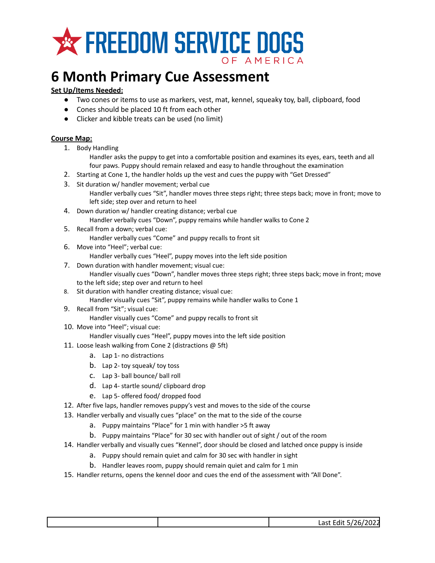

## **6 Month Primary Cue Assessment**

## **Set Up/Items Needed:**

- Two cones or items to use as markers, vest, mat, kennel, squeaky toy, ball, clipboard, food
- Cones should be placed 10 ft from each other
- Clicker and kibble treats can be used (no limit)

## **Course Map:**

1. Body Handling

Handler asks the puppy to get into a comfortable position and examines its eyes, ears, teeth and all four paws. Puppy should remain relaxed and easy to handle throughout the examination

- 2. Starting at Cone 1, the handler holds up the vest and cues the puppy with "Get Dressed"
- 3. Sit duration w/ handler movement; verbal cue
	- Handler verbally cues "Sit", handler moves three steps right; three steps back; move in front; move to left side; step over and return to heel
- 4. Down duration w/ handler creating distance; verbal cue Handler verbally cues "Down", puppy remains while handler walks to Cone 2
- 5. Recall from a down; verbal cue: Handler verbally cues "Come" and puppy recalls to front sit
- 6. Move into "Heel"; verbal cue:
	- Handler verbally cues "Heel", puppy moves into the left side position
- 7. Down duration with handler movement; visual cue: Handler visually cues "Down", handler moves three steps right; three steps back; move in front; move to the left side; step over and return to heel
- 8. Sit duration with handler creating distance; visual cue: Handler visually cues "Sit", puppy remains while handler walks to Cone 1
- 9. Recall from "Sit"; visual cue:
	- Handler visually cues "Come" and puppy recalls to front sit
- 10. Move into "Heel"; visual cue:
	- Handler visually cues "Heel", puppy moves into the left side position
- 11. Loose leash walking from Cone 2 (distractions @ 5ft)
	- a. Lap 1- no distractions
	- b. Lap 2- toy squeak/ toy toss
	- c. Lap 3- ball bounce/ ball roll
	- d. Lap 4- startle sound/ clipboard drop
	- e. Lap 5- offered food/ dropped food
- 12. After five laps, handler removes puppy's vest and moves to the side of the course
- 13. Handler verbally and visually cues "place" on the mat to the side of the course
	- a. Puppy maintains "Place" for 1 min with handler >5 ft away
	- b. Puppy maintains "Place" for 30 sec with handler out of sight / out of the room
- 14. Handler verbally and visually cues "Kennel", door should be closed and latched once puppy is inside
	- a. Puppy should remain quiet and calm for 30 sec with handler in sight
	- b. Handler leaves room, puppy should remain quiet and calm for 1 min
- 15. Handler returns, opens the kennel door and cues the end of the assessment with "All Done".